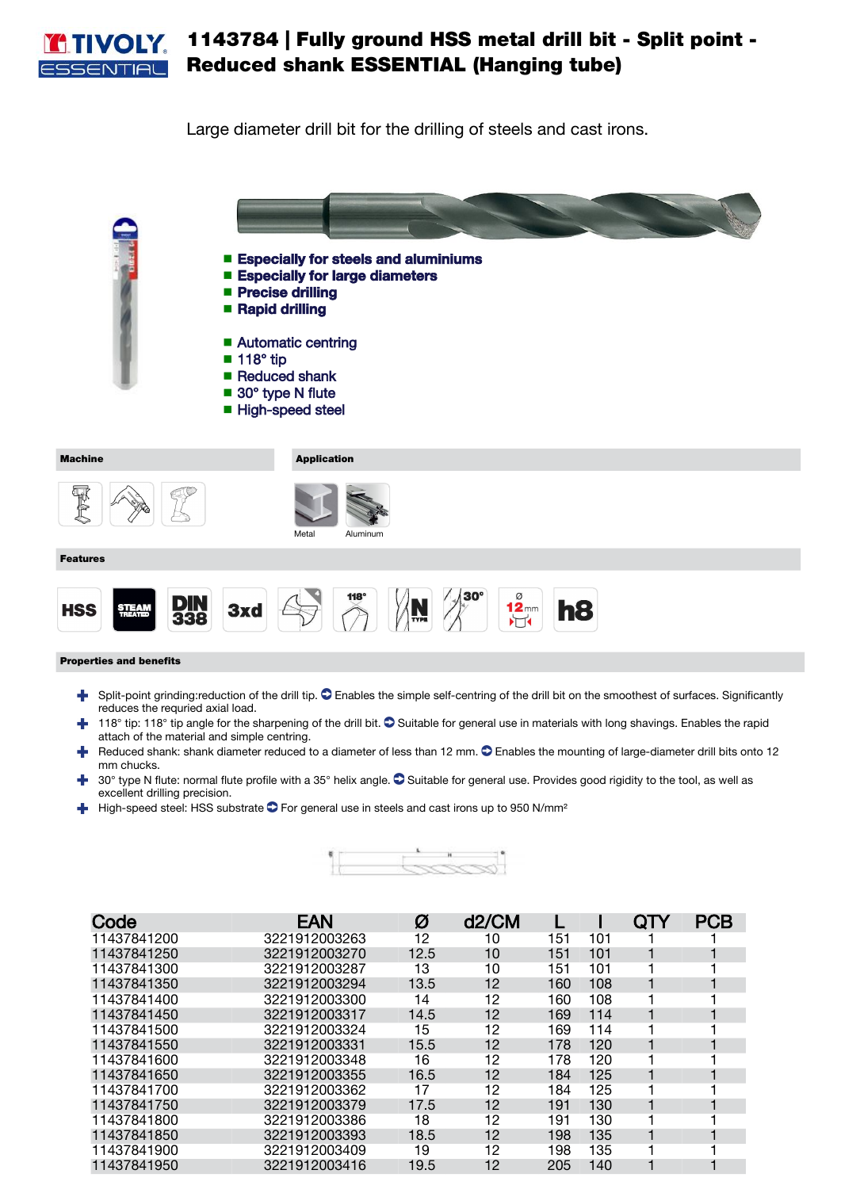

## 1143784 | Fully ground HSS metal drill bit - Split point - Reduced shank ESSENTIAL (Hanging tube)

Large diameter drill bit for the drilling of steels and cast irons.

■ Especially for steels and aluminiums ■ Especially for large diameters ■ Precise drilling ■ Rapid drilling ■ Automatic centring 118° tip ■ ■ Reduced shank ■ 30° type N flute ■ High-speed steel Machine **Application** 電食 Aluminu Features  $\sum_{n=1}^{118^\circ}$  $\begin{bmatrix} 0 \\ 1 \\ 2 \\ 1 \end{bmatrix}$ **DIN<br>338** 3xd h<sub>8</sub> **HSS STEAM** 

## Properties and benefits

- F Split-point grinding:reduction of the drill tip.  $\bullet$  Enables the simple self-centring of the drill bit on the smoothest of surfaces. Significantly reduces the requried axial load.
- $\uparrow$  118° tip: 118° tip angle for the sharpening of the drill bit.  $\bullet$  Suitable for general use in materials with long shavings. Enables the rapid attach of the material and simple centring.
- **Reduced shank: shank diameter reduced to a diameter of less than 12 mm.**  $\bullet$  Enables the mounting of large-diameter drill bits onto 12 mm chucks.
- 30° type N flute: normal flute profile with a 35° helix angle.  $\bullet$  Suitable for general use. Provides good rigidity to the tool, as well as excellent drilling precision.
- $\blacktriangleleft$  High-speed steel: HSS substrate  $\blacktriangleright$  For general use in steels and cast irons up to 950 N/mm<sup>2</sup>



| Code        | <b>EAN</b>    | Ø    | d2/CM |     |     | QTY | <b>PCB</b> |
|-------------|---------------|------|-------|-----|-----|-----|------------|
| 11437841200 | 3221912003263 | 12   | 10    | 151 | 101 |     |            |
| 11437841250 | 3221912003270 | 12.5 | 10    | 151 | 101 |     |            |
| 11437841300 | 3221912003287 | 13   | 10    | 151 | 101 |     |            |
| 11437841350 | 3221912003294 | 13.5 | 12    | 160 | 108 |     |            |
| 11437841400 | 3221912003300 | 14   | 12    | 160 | 108 |     |            |
| 11437841450 | 3221912003317 | 14.5 | 12    | 169 | 114 |     |            |
| 11437841500 | 3221912003324 | 15   | 12    | 169 | 114 |     |            |
| 11437841550 | 3221912003331 | 15.5 | 12    | 178 | 120 |     |            |
| 11437841600 | 3221912003348 | 16   | 12    | 178 | 120 |     |            |
| 11437841650 | 3221912003355 | 16.5 | 12    | 184 | 125 |     |            |
| 11437841700 | 3221912003362 | 17   | 12    | 184 | 125 |     |            |
| 11437841750 | 3221912003379 | 17.5 | 12    | 191 | 130 |     |            |
| 11437841800 | 3221912003386 | 18   | 12    | 191 | 130 |     |            |
| 11437841850 | 3221912003393 | 18.5 | 12    | 198 | 135 |     |            |
| 11437841900 | 3221912003409 | 19   | 12    | 198 | 135 |     |            |
| 11437841950 | 3221912003416 | 19.5 | 12    | 205 | 140 |     |            |